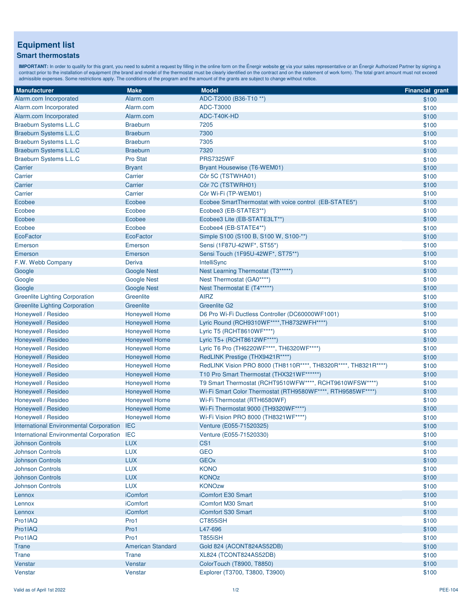## **Equipment list**

## **Smart thermostats**

**IMPORTANT:** In order to qualify for this grant, you need to submit a request by filling in the online form on the Énergir website <u>or</u> via your sales representative or an Énergir Authorized Partner by signing a<br>contract p

| <b>Manufacturer</b>                            | <b>Make</b>              | <b>Model</b>                                                    | <b>Financial grant</b> |
|------------------------------------------------|--------------------------|-----------------------------------------------------------------|------------------------|
| Alarm.com Incorporated                         | Alarm.com                | ADC-T2000 (B36-T10 **)                                          | \$100                  |
| Alarm.com Incorporated                         | Alarm.com                | ADC-T3000                                                       | \$100                  |
| Alarm.com Incorporated                         | Alarm.com                | ADC-T40K-HD                                                     | \$100                  |
| Braeburn Systems L.L.C                         | <b>Braeburn</b>          | 7205                                                            | \$100                  |
| <b>Braeburn Systems L.L.C</b>                  | <b>Braeburn</b>          | 7300                                                            | \$100                  |
| Braeburn Systems L.L.C                         | <b>Braeburn</b>          | 7305                                                            | \$100                  |
| <b>Braeburn Systems L.L.C</b>                  | <b>Braeburn</b>          | 7320                                                            | \$100                  |
| Braeburn Systems L.L.C                         | <b>Pro Stat</b>          | <b>PRS7325WF</b>                                                | \$100                  |
| Carrier                                        | <b>Bryant</b>            | Bryant Housewise (T6-WEM01)                                     | \$100                  |
| Carrier                                        | Carrier                  | Côr 5C (TSTWHA01)                                               | \$100                  |
| Carrier                                        | Carrier                  | Côr 7C (TSTWRH01)                                               | \$100                  |
| Carrier                                        | Carrier                  | Côr Wi-Fi (TP-WEM01)                                            | \$100                  |
| Ecobee                                         | Ecobee                   | Ecobee SmartThermostat with voice control (EB-STATE5*)          | \$100                  |
| Ecobee                                         | Ecobee                   | Ecobee3 (EB-STATE3**)                                           | \$100                  |
| Ecobee                                         | Ecobee                   | Ecobee3 Lite (EB-STATE3LT**)                                    | \$100                  |
| Ecobee                                         | Ecobee                   | Ecobee4 (EB-STATE4**)                                           | \$100                  |
| <b>EcoFactor</b>                               | <b>EcoFactor</b>         | Simple S100 (S100 B, S100 W, S100-**)                           | \$100                  |
| Emerson                                        | Emerson                  | Sensi (1F87U-42WF*, ST55*)                                      | \$100                  |
| Emerson                                        | Emerson                  | Sensi Touch (1F95U-42WF*, ST75**)                               | \$100                  |
| F.W. Webb Company                              | Deriva                   | IntelliSync                                                     | \$100                  |
| Google                                         | <b>Google Nest</b>       | Nest Learning Thermostat (T3*****)                              | \$100                  |
| Google                                         | <b>Google Nest</b>       | Nest Thermostat (GA0****)                                       | \$100                  |
| Google                                         | <b>Google Nest</b>       | Nest Thermostat E (T4*****)                                     | \$100                  |
| <b>Greenlite Lighting Corporation</b>          | Greenlite                | <b>AIRZ</b>                                                     | \$100                  |
| <b>Greenlite Lighting Corporation</b>          | Greenlite                | <b>Greenlite G2</b>                                             | \$100                  |
| Honeywell / Resideo                            | <b>Honeywell Home</b>    | D6 Pro Wi-Fi Ductless Controller (DC60000WF1001)                | \$100                  |
| Honeywell / Resideo                            | <b>Honeywell Home</b>    | Lyric Round (RCH9310WF****, TH8732WFH****)                      | \$100                  |
| Honeywell / Resideo                            | <b>Honeywell Home</b>    | Lyric T5 (RCHT8610WF****)                                       | \$100                  |
| Honeywell / Resideo                            | <b>Honeywell Home</b>    | Lyric T5+ (RCHT8612WF****)                                      | \$100                  |
| Honeywell / Resideo                            | <b>Honeywell Home</b>    | Lyric T6 Pro (TH6220WF****, TH6320WF****)                       | \$100                  |
| Honeywell / Resideo                            | <b>Honeywell Home</b>    | RedLINK Prestige (THX9421R****)                                 | \$100                  |
| Honeywell / Resideo                            | <b>Honeywell Home</b>    | RedLINK Vision PRO 8000 (TH8110R****, TH8320R****, TH8321R****) | \$100                  |
| Honeywell / Resideo                            | <b>Honeywell Home</b>    | T10 Pro Smart Thermostat (THX321WF******)                       | \$100                  |
| Honeywell / Resideo                            | <b>Honeywell Home</b>    | T9 Smart Thermostat (RCHT9510WFW****, RCHT9610WFSW****)         | \$100                  |
| Honeywell / Resideo                            | <b>Honeywell Home</b>    | Wi-Fi Smart Color Thermostat (RTH9580WF****, RTH9585WF****)     | \$100                  |
| Honeywell / Resideo                            | <b>Honeywell Home</b>    | Wi-Fi Thermostat (RTH6580WF)                                    | \$100                  |
| Honeywell / Resideo                            | <b>Honeywell Home</b>    | Wi-Fi Thermostat 9000 (TH9320WF****)                            | \$100                  |
| Honeywell / Resideo                            | <b>Honeywell Home</b>    | Wi-Fi Vision PRO 8000 (TH8321WF****)                            | \$100                  |
| <b>International Environmental Corporation</b> | <b>IEC</b>               | Venture (E055-71520325)                                         | \$100                  |
| <b>International Environmental Corporation</b> | <b>IEC</b>               | Venture (E055-71520330)                                         | \$100                  |
| <b>Johnson Controls</b>                        | <b>LUX</b>               | CS <sub>1</sub>                                                 | \$100                  |
| <b>Johnson Controls</b>                        | <b>LUX</b>               | <b>GEO</b>                                                      | \$100                  |
| <b>Johnson Controls</b>                        | <b>LUX</b>               | <b>GEOx</b>                                                     | \$100                  |
| <b>Johnson Controls</b>                        | <b>LUX</b>               | <b>KONO</b>                                                     | \$100                  |
| <b>Johnson Controls</b>                        | <b>LUX</b>               | <b>KONOz</b>                                                    | \$100                  |
| <b>Johnson Controls</b>                        | <b>LUX</b>               | <b>KONOzw</b>                                                   | \$100                  |
| Lennox                                         | iComfort                 | iComfort E30 Smart                                              | \$100                  |
| Lennox                                         | <b>iComfort</b>          | iComfort M30 Smart                                              | \$100                  |
| Lennox                                         | <b>iComfort</b>          | iComfort S30 Smart                                              | \$100                  |
| Pro1IAQ                                        | Pro1                     | CT855iSH                                                        | \$100                  |
| Pro1IAQ                                        | Pro1                     | L47-696                                                         | \$100                  |
| Pro1IAQ                                        | Pro1                     | <b>T855iSH</b>                                                  | \$100                  |
| Trane                                          | <b>American Standard</b> | Gold 824 (ACONT824AS52DB)                                       | \$100                  |
| Trane                                          | Trane                    | XL824 (TCONT824AS52DB)                                          | \$100                  |
| Venstar                                        | Venstar                  | ColorTouch (T8900, T8850)                                       | \$100                  |
| Venstar                                        | Venstar                  | Explorer (T3700, T3800, T3900)                                  | \$100                  |